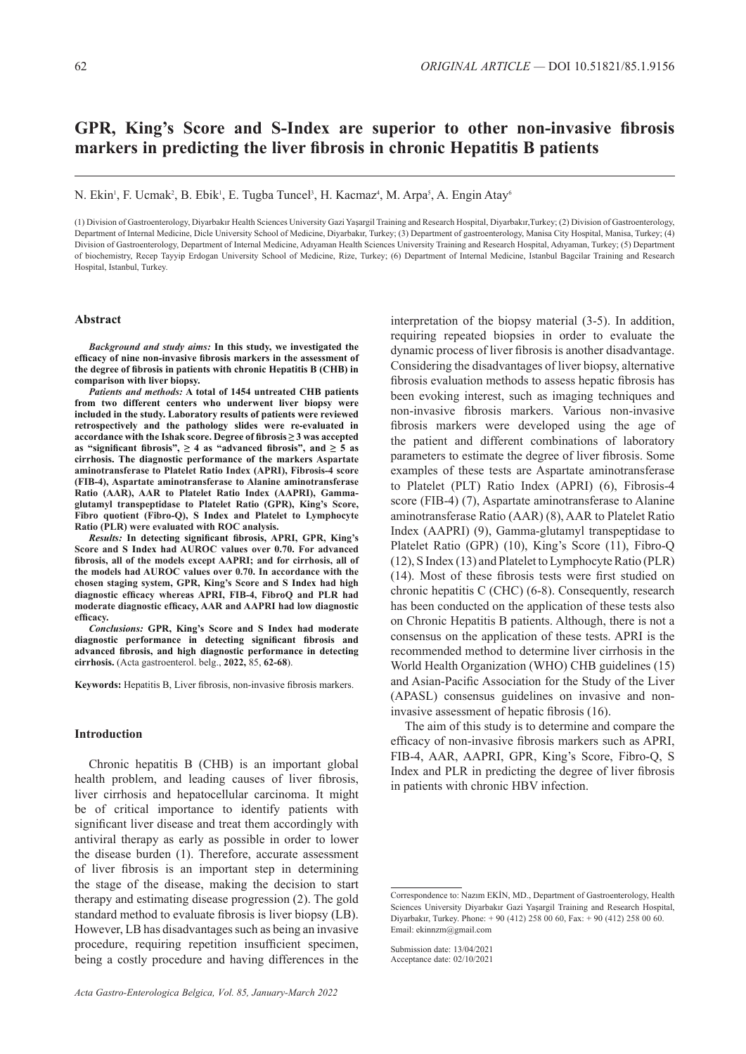# **GPR, King's Score and S-Index are superior to other non-invasive fibrosis markers in predicting the liver fibrosis in chronic Hepatitis B patients**

N. Ekin<sup>i</sup>, F. Ucmak<sup>2</sup>, B. Ebik<sup>1</sup>, E. Tugba Tuncel<sup>3</sup>, H. Kacmaz<sup>4</sup>, M. Arpa<sup>5</sup>, A. Engin Atay<sup>6</sup>

(1) Division of Gastroenterology, Diyarbakır Health Sciences University Gazi Yaşargil Training and Research Hospital, Diyarbakır,Turkey; (2) Division of Gastroenterology, Department of Internal Medicine, Dicle University School of Medicine, Diyarbakır, Turkey; (3) Department of gastroenterology, Manisa City Hospital, Manisa, Turkey; (4) Division of Gastroenterology, Department of Internal Medicine, Adıyaman Health Sciences University Training and Research Hospital, Adıyaman, Turkey; (5) Department of biochemistry, Recep Tayyip Erdogan University School of Medicine, Rize, Turkey; (6) Department of Internal Medicine, Istanbul Bagcilar Training and Research Hospital, Istanbul, Turkey.

### **Abstract**

*Background and study aims:* **In this study, we investigated the efficacy of nine non-invasive fibrosis markers in the assessment of the degree of fibrosis in patients with chronic Hepatitis B (CHB) in comparison with liver biopsy.**

*Patients and methods:* **A total of 1454 untreated CHB patients from two different centers who underwent liver biopsy were included in the study. Laboratory results of patients were reviewed retrospectively and the pathology slides were re-evaluated in accordance with the Ishak score. Degree of fibrosis ≥ 3 was accepted**  as "significant fibrosis",  $\geq 4$  as "advanced fibrosis", and  $\geq 5$  as **cirrhosis. The diagnostic performance of the markers Aspartate aminotransferase to Platelet Ratio Index (APRI), Fibrosis-4 score (FIB-4), Aspartate aminotransferase to Alanine aminotransferase Ratio (AAR), AAR to Platelet Ratio Index (AAPRI), Gammaglutamyl transpeptidase to Platelet Ratio (GPR), King's Score, Fibro quotient (Fibro-Q), S Index and Platelet to Lymphocyte Ratio (PLR) were evaluated with ROC analysis.** 

*Results:* **In detecting significant fibrosis, APRI, GPR, King's Score and S Index had AUROC values over 0.70. For advanced fibrosis, all of the models except AAPRI; and for cirrhosis, all of the models had AUROC values over 0.70. In accordance with the chosen staging system, GPR, King's Score and S Index had high diagnostic efficacy whereas APRI, FIB-4, FibroQ and PLR had moderate diagnostic efficacy, AAR and AAPRI had low diagnostic efficacy.** 

*Conclusions:* **GPR, King's Score and S Index had moderate diagnostic performance in detecting significant fibrosis and advanced fibrosis, and high diagnostic performance in detecting cirrhosis.** (Acta gastroenterol. belg., **2022,** 85, **62-68**).

**Keywords:** Hepatitis B, Liver fibrosis, non-invasive fibrosis markers.

# **Introduction**

Chronic hepatitis B (CHB) is an important global health problem, and leading causes of liver fibrosis, liver cirrhosis and hepatocellular carcinoma. It might be of critical importance to identify patients with significant liver disease and treat them accordingly with antiviral therapy as early as possible in order to lower the disease burden (1). Therefore, accurate assessment of liver fibrosis is an important step in determining the stage of the disease, making the decision to start therapy and estimating disease progression (2). The gold standard method to evaluate fibrosis is liver biopsy (LB). However, LB has disadvantages such as being an invasive procedure, requiring repetition insufficient specimen, being a costly procedure and having differences in the

interpretation of the biopsy material (3-5). In addition, requiring repeated biopsies in order to evaluate the dynamic process of liver fibrosis is another disadvantage. Considering the disadvantages of liver biopsy, alternative fibrosis evaluation methods to assess hepatic fibrosis has been evoking interest, such as imaging techniques and non-invasive fibrosis markers. Various non-invasive fibrosis markers were developed using the age of the patient and different combinations of laboratory parameters to estimate the degree of liver fibrosis. Some examples of these tests are Aspartate aminotransferase to Platelet (PLT) Ratio Index (APRI) (6), Fibrosis-4 score (FIB-4) (7), Aspartate aminotransferase to Alanine aminotransferase Ratio (AAR) (8), AAR to Platelet Ratio Index (AAPRI) (9), Gamma-glutamyl transpeptidase to Platelet Ratio (GPR) (10), King's Score (11), Fibro-Q (12), S Index (13) and Platelet to Lymphocyte Ratio (PLR) (14). Most of these fibrosis tests were first studied on chronic hepatitis C (CHC) (6-8). Consequently, research has been conducted on the application of these tests also on Chronic Hepatitis B patients. Although, there is not a consensus on the application of these tests. APRI is the recommended method to determine liver cirrhosis in the World Health Organization (WHO) CHB guidelines (15) and Asian-Pacific Association for the Study of the Liver (APASL) consensus guidelines on invasive and noninvasive assessment of hepatic fibrosis (16).

The aim of this study is to determine and compare the efficacy of non-invasive fibrosis markers such as APRI, FIB-4, AAR, AAPRI, GPR, King's Score, Fibro-Q, S Index and PLR in predicting the degree of liver fibrosis in patients with chronic HBV infection.

Correspondence to: Nazım EKİN, MD., Department of Gastroenterology, Health Sciences University Diyarbakır Gazi Yaşargil Training and Research Hospital, Diyarbakır, Turkey. Phone: + 90 (412) 258 00 60, Fax: + 90 (412) 258 00 60. Email: ekinnzm@gmail.com

Submission date: 13/04/2021 Acceptance date: 02/10/2021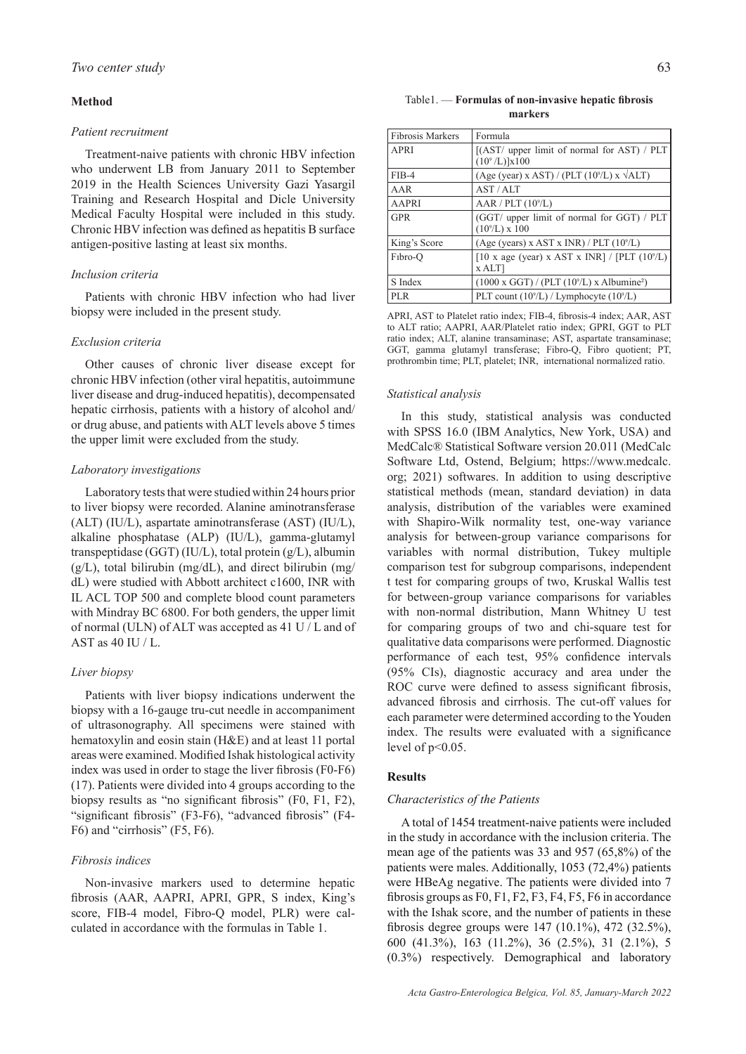# **Method**

### *Patient recruitment*

Treatment-naive patients with chronic HBV infection who underwent LB from January 2011 to September 2019 in the Health Sciences University Gazi Yasargil Training and Research Hospital and Dicle University Medical Faculty Hospital were included in this study. Chronic HBV infection was defined as hepatitis B surface antigen-positive lasting at least six months.

# *Inclusion criteria*

Patients with chronic HBV infection who had liver biopsy were included in the present study.

### *Exclusion criteria*

Other causes of chronic liver disease except for chronic HBV infection (other viral hepatitis, autoimmune liver disease and drug-induced hepatitis), decompensated hepatic cirrhosis, patients with a history of alcohol and/ or drug abuse, and patients with ALT levels above 5 times the upper limit were excluded from the study.

### *Laboratory investigations*

Laboratory tests that were studied within 24 hours prior to liver biopsy were recorded. Alanine aminotransferase (ALT) (IU/L), aspartate aminotransferase (AST) (IU/L), alkaline phosphatase (ALP) (IU/L), gamma-glutamyl transpeptidase (GGT) (IU/L), total protein (g/L), albumin  $(g/L)$ , total bilirubin (mg/dL), and direct bilirubin (mg/ dL) were studied with Abbott architect c1600, INR with IL ACL TOP 500 and complete blood count parameters with Mindray BC 6800. For both genders, the upper limit of normal (ULN) of ALT was accepted as 41 U / L and of AST as 40 IU / L.

#### *Liver biopsy*

Patients with liver biopsy indications underwent the biopsy with a 16-gauge tru-cut needle in accompaniment of ultrasonography. All specimens were stained with hematoxylin and eosin stain (H&E) and at least 11 portal areas were examined. Modified Ishak histological activity index was used in order to stage the liver fibrosis (F0-F6) (17). Patients were divided into 4 groups according to the biopsy results as "no significant fibrosis" (F0, F1, F2), "significant fibrosis" (F3-F6), "advanced fibrosis" (F4- F6) and "cirrhosis" (F5, F6).

# *Fibrosis indices*

Non-invasive markers used to determine hepatic fibrosis (AAR, AAPRI, APRI, GPR, S index, King's score, FIB-4 model, Fibro-Q model, PLR) were calculated in accordance with the formulas in Table 1.

### Table1. — **Formulas of non-invasive hepatic fibrosis markers**

| <b>Fibrosis Markers</b> | Formula                                                             |
|-------------------------|---------------------------------------------------------------------|
| APRI                    | [(AST/ upper limit of normal for AST) / PLT<br>$(10^9$ /L)]x100     |
| $FIB-4$                 | $(Age (year) x AST) / (PLT (109/L) x \sqrt{ALT})$                   |
| AAR                     | AST/AIT                                                             |
| <b>AAPRI</b>            | AAR / PLT (10 <sup>9</sup> /L)                                      |
| <b>GPR</b>              | (GGT/ upper limit of normal for GGT) / PLT<br>$(10^9/L) \times 100$ |
| King's Score            | $(Age (years) \times AST \times INR) / PLT (109/L)$                 |
| F <sub>1</sub> bro-O    | [10 x age (year) x AST x INR] / [PLT $(10^9/L)$<br>x ALT            |
| S Index                 | $(1000 \times GGT) / (PLT (109/L) \times Albumine2)$                |
| PLR.                    | PLT count $(10^9/L)$ / Lymphocyte $(10^9/L)$                        |

APRI, AST to Platelet ratio index; FIB-4, fibrosis-4 index; AAR, AST to ALT ratio; AAPRI, AAR/Platelet ratio index; GPRI, GGT to PLT ratio index; ALT, alanine transaminase; AST, aspartate transaminase; GGT, gamma glutamyl transferase; Fibro-Q, Fibro quotient; PT, prothrombin time; PLT, platelet; INR, international normalized ratio.

#### *Statistical analysis*

In this study, statistical analysis was conducted with SPSS 16.0 (IBM Analytics, New York, USA) and MedCalc® Statistical Software version 20.011 (MedCalc Software Ltd, Ostend, Belgium; https://www.medcalc. org; 2021) softwares. In addition to using descriptive statistical methods (mean, standard deviation) in data analysis, distribution of the variables were examined with Shapiro-Wilk normality test, one-way variance analysis for between-group variance comparisons for variables with normal distribution, Tukey multiple comparison test for subgroup comparisons, independent t test for comparing groups of two, Kruskal Wallis test for between-group variance comparisons for variables with non-normal distribution, Mann Whitney U test for comparing groups of two and chi-square test for qualitative data comparisons were performed. Diagnostic performance of each test, 95% confidence intervals (95% CIs), diagnostic accuracy and area under the ROC curve were defined to assess significant fibrosis, advanced fibrosis and cirrhosis. The cut-off values for each parameter were determined according to the Youden index. The results were evaluated with a significance level of  $p<0.05$ .

# **Results**

#### *Characteristics of the Patients*

A total of 1454 treatment-naive patients were included in the study in accordance with the inclusion criteria. The mean age of the patients was 33 and 957 (65,8%) of the patients were males. Additionally, 1053 (72,4%) patients were HBeAg negative. The patients were divided into 7 fibrosis groups as F0, F1, F2, F3, F4, F5, F6 in accordance with the Ishak score, and the number of patients in these fibrosis degree groups were 147 (10.1%), 472 (32.5%), 600 (41.3%), 163 (11.2%), 36 (2.5%), 31 (2.1%), 5 (0.3%) respectively. Demographical and laboratory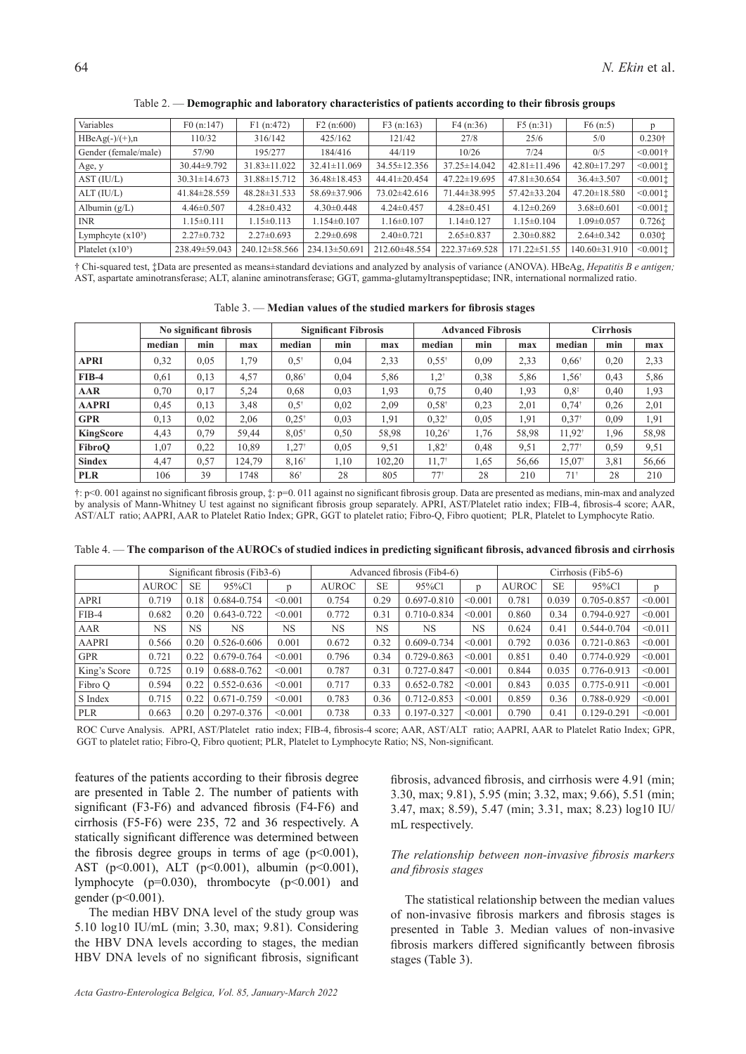| Variables            | F0(n:147)          | F1(n:472)           | F2(n:600)           | F3(n:163)          | F4(n:36)           | F5(n:31)           | F6(n:5)             |                       |
|----------------------|--------------------|---------------------|---------------------|--------------------|--------------------|--------------------|---------------------|-----------------------|
| $HBeAg(-)/(+)$ ,n    | 110/32             | 316/142             | 425/162             | 121/42             | 27/8               | 25/6               | 5/0                 | $0.230\dagger$        |
| Gender (female/male) | 57/90              | 195/277             | 184/416             | 44/119             | 10/26              | 7/24               | 0/5                 | $\leq 0.001$ †        |
| Age, y               | $30.44\pm9.792$    | $31.83 \pm 11.022$  | $32.41 \pm 11.069$  | $34.55 \pm 12.356$ | $37.25 \pm 14.042$ | $42.81 \pm 11.496$ | 42.80±17.297        | $\leq 0.001$ :        |
| AST (IU/L)           | $30.31 \pm 14.673$ | $31.88 \pm 15.712$  | $36.48 \pm 18.453$  | $44.41 \pm 20.454$ | $47.22 \pm 19.695$ | $47.81 \pm 30.654$ | $36.4 \pm 3.507$    | $\leq 0.001$ :        |
| ALT (IU/L)           | 41.84±28.559       | $48.28 \pm 31.533$  | 58.69 ± 37.906      | $73.02 \pm 42.616$ | 71.44±38.995       | 57.42±33.204       | $47.20 \pm 18.580$  | $<0.001$ :            |
| Albumin $(g/L)$      | $4.46 \pm 0.507$   | $4.28 \pm 0.432$    | $4.30\pm0.448$      | $4.24 \pm 0.457$   | $4.28 \pm 0.451$   | $4.12 \pm 0.269$   | $3.68 \pm 0.601$    | $<0.001$ $\downarrow$ |
| <b>INR</b>           | $1.15 \pm 0.111$   | $1.15 \pm 0.113$    | $1.154 \pm 0.107$   | $1.16 \pm 0.107$   | $1.14\pm0.127$     | $1.15 \pm 0.104$   | $1.09 \pm 0.057$    | $0.726$ $\dagger$     |
| Lymphcyte $(x10^3)$  | $2.27 \pm 0.732$   | $2.27 \pm 0.693$    | $2.29 \pm 0.698$    | $2.40\pm0.721$     | $2.65 \pm 0.837$   | $2.30\pm0.882$     | $2.64\pm0.342$      | 0.0301                |
| Platelet $(x10^3)$   | 238.49±59.043      | $240.12 \pm 58.566$ | $234.13 \pm 50.691$ | 212.60±48.554      | 222.37±69.528      | 171.22±51.55       | $140.60 \pm 31.910$ | $<0.001$ $\downarrow$ |

Table 2. — **Demographic and laboratory characteristics of patients according to their fibrosis groups**

† Chi-squared test, ‡Data are presented as means±standard deviations and analyzed by analysis of variance (ANOVA). HBeAg, *Hepatitis B e antigen;*  AST, aspartate aminotransferase; ALT, alanine aminotransferase; GGT, gamma-glutamyltranspeptidase; INR, international normalized ratio.

| Table 3. - Median values of the studied markers for fibrosis stages |  |  |  |  |  |  |  |  |
|---------------------------------------------------------------------|--|--|--|--|--|--|--|--|
|---------------------------------------------------------------------|--|--|--|--|--|--|--|--|

|               |        | No significant fibrosis |        | <b>Significant Fibrosis</b> |      |        | <b>Advanced Fibrosis</b>          |      |       | <b>Cirrhosis</b>  |      |       |
|---------------|--------|-------------------------|--------|-----------------------------|------|--------|-----------------------------------|------|-------|-------------------|------|-------|
|               | median | min                     | max    | median                      | min  | max    | median                            | min  | max   | median            | min  | max   |
| <b>APRI</b>   | 0,32   | 0.05                    | 1,79   | $0.5^*$                     | 0,04 | 2,33   | $0.55^*$                          | 0.09 | 2,33  | $0.66^*$          | 0,20 | 2,33  |
| $FIB-4$       | 0.61   | 0.13                    | 4,57   | $0.86^*$                    | 0,04 | 5,86   | $1,2^+$                           | 0.38 | 5,86  | $1,56^{\circ}$    | 0,43 | 5,86  |
| AAR           | 0.70   | 0,17                    | 5,24   | 0.68                        | 0,03 | 1.93   | 0.75                              | 0,40 | 1.93  | $0.8^{\ddagger}$  | 0,40 | 1,93  |
| <b>AAPRI</b>  | 0,45   | 0,13                    | 3,48   | $0.5^*$                     | 0,02 | 2,09   | $0.58^{\dagger}$                  | 0,23 | 2,01  | $0,74^{\dagger}$  | 0,26 | 2,01  |
| <b>GPR</b>    | 0.13   | 0.02                    | 2.06   | $0.25^*$                    | 0.03 | 1,91   | $0.32^*$                          | 0.05 | 1.91  | $0.37*$           | 0.09 | 1,91  |
| KingScore     | 4,43   | 0.79                    | 59.44  | $8.05^*$                    | 0.50 | 58,98  | $10,26^{\dagger}$                 | 1.76 | 58,98 | $11.92^{\dagger}$ | 1,96 | 58,98 |
| FibroO        | 1,07   | 0,22                    | 10.89  | $.27^*$                     | 0.05 | 9,51   | $1,82^{\dagger}$                  | 0,48 | 9.51  | $2.77*$           | 0.59 | 9,51  |
| <b>Sindex</b> | 4,47   | 0.57                    | 124,79 | $8.16^*$                    | 1,10 | 102,20 | $11.7^*$                          | 1,65 | 56,66 | $15.07^*$         | 3,81 | 56,66 |
| <b>PLR</b>    | 106    | 39                      | 1748   | 86 <sup>†</sup>             | 28   | 805    | $77^{\scriptscriptstyle \dagger}$ | 28   | 210   | $71$ <sup>†</sup> | 28   | 210   |

†: p<0. 001 against no significant fibrosis group, ‡: p=0. 011 against no significant fibrosis group. Data are presented as medians, min-max and analyzed by analysis of Mann-Whitney U test against no significant fibrosis group separately. APRI, AST/Platelet ratio index; FIB-4, fibrosis-4 score; AAR, AST/ALT ratio; AAPRI, AAR to Platelet Ratio Index; GPR, GGT to platelet ratio; Fibro-Q, Fibro quotient; PLR, Platelet to Lymphocyte Ratio.

| Table 4. - The comparison of the AUROCs of studied indices in predicting significant fibrosis, advanced fibrosis and cirrhosis |  |  |  |  |  |  |  |  |  |  |  |
|--------------------------------------------------------------------------------------------------------------------------------|--|--|--|--|--|--|--|--|--|--|--|
|--------------------------------------------------------------------------------------------------------------------------------|--|--|--|--|--|--|--|--|--|--|--|

|              |              |           | Significant fibrosis (Fib3-6) |           |              | Advanced fibrosis (Fib4-6) |                 |           | Cirrhosis (Fib5-6) |           |                 |         |
|--------------|--------------|-----------|-------------------------------|-----------|--------------|----------------------------|-----------------|-----------|--------------------|-----------|-----------------|---------|
|              | <b>AUROC</b> | <b>SE</b> | 95%Cl                         | p         | <b>AUROC</b> | <b>SE</b>                  | 95%Cl           | p         | <b>AUROC</b>       | <b>SE</b> | 95%Cl           | p       |
| <b>APRI</b>  | 0.719        | 0.18      | 0.684-0.754                   | < 0.001   | 0.754        | 0.29                       | $0.697 - 0.810$ | < 0.001   | 0.781              | 0.039     | 0.705-0.857     | < 0.001 |
| $FIB-4$      | 0.682        | 0.20      | $0.643 - 0.722$               | < 0.001   | 0.772        | 0.31                       | 0.710-0.834     | < 0.001   | 0.860              | 0.34      | 0.794-0.927     | < 0.001 |
| AAR          | NS           | <b>NS</b> | NS                            | <b>NS</b> | <b>NS</b>    | NS.                        | <b>NS</b>       | <b>NS</b> | 0.624              | 0.41      | 0.544-0.704     | < 0.011 |
| <b>AAPRI</b> | 0.566        | 0.20      | $0.526 - 0.606$               | 0.001     | 0.672        | 0.32                       | 0.609-0.734     | < 0.001   | 0.792              | 0.036     | 0.721-0.863     | < 0.001 |
| <b>GPR</b>   | 0.721        | 0.22      | $0.679 - 0.764$               | < 0.001   | 0.796        | 0.34                       | 0.729-0.863     | < 0.001   | 0.851              | 0.40      | 0.774-0.929     | < 0.001 |
| King's Score | 0.725        | 0.19      | 0.688-0.762                   | < 0.001   | 0.787        | 0.31                       | 0.727-0.847     | < 0.001   | 0.844              | 0.035     | 0.776-0.913     | < 0.001 |
| Fibro O      | 0.594        | 0.22      | $0.552 - 0.636$               | < 0.001   | 0.717        | 0.33                       | 0.652-0.782     | < 0.001   | 0.843              | 0.035     | 0.775-0.911     | < 0.001 |
| S Index      | 0.715        | 0.22      | $0.671 - 0.759$               | < 0.001   | 0.783        | 0.36                       | 0.712-0.853     | < 0.001   | 0.859              | 0.36      | 0.788-0.929     | < 0.001 |
| <b>PLR</b>   | 0.663        | 0.20      | $0.297 - 0.376$               | < 0.001   | 0.738        | 0.33                       | 0.197-0.327     | < 0.001   | 0.790              | 0.41      | $0.129 - 0.291$ | < 0.001 |

ROC Curve Analysis. APRI, AST/Platelet ratio index; FIB-4, fibrosis-4 score; AAR, AST/ALT ratio; AAPRI, AAR to Platelet Ratio Index; GPR, GGT to platelet ratio; Fibro-Q, Fibro quotient; PLR, Platelet to Lymphocyte Ratio; NS, Non-significant.

features of the patients according to their fibrosis degree are presented in Table 2. The number of patients with significant (F3-F6) and advanced fibrosis (F4-F6) and cirrhosis (F5-F6) were 235, 72 and 36 respectively. A statically significant difference was determined between the fibrosis degree groups in terms of age  $(p<0.001)$ , AST (p<0.001), ALT (p<0.001), albumin (p<0.001), lymphocyte (p=0.030), thrombocyte (p<0.001) and gender (p<0.001).

The median HBV DNA level of the study group was 5.10 log10 IU/mL (min; 3.30, max; 9.81). Considering the HBV DNA levels according to stages, the median HBV DNA levels of no significant fibrosis, significant

fibrosis, advanced fibrosis, and cirrhosis were 4.91 (min; 3.30, max; 9.81), 5.95 (min; 3.32, max; 9.66), 5.51 (min; 3.47, max; 8.59), 5.47 (min; 3.31, max; 8.23) log10 IU/ mL respectively.

# *The relationship between non-invasive fibrosis markers and fibrosis stages*

The statistical relationship between the median values of non-invasive fibrosis markers and fibrosis stages is presented in Table 3. Median values of non-invasive fibrosis markers differed significantly between fibrosis stages (Table 3).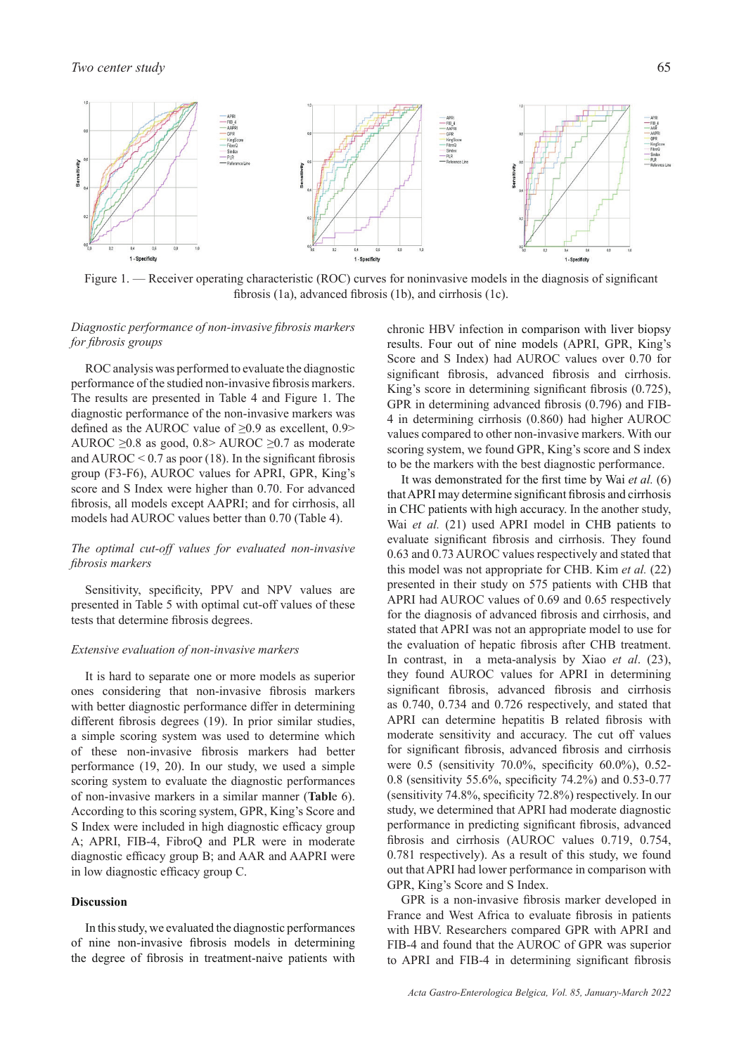

Figure 1. — Receiver operating characteristic (ROC) curves for noninvasive models in the diagnosis of significant fibrosis (1a), advanced fibrosis (1b), and cirrhosis (1c).

# *Diagnostic performance of non-invasive fibrosis markers for fibrosis groups*

ROC analysis was performed to evaluate the diagnostic performance of the studied non-invasive fibrosis markers. The results are presented in Table 4 and Figure 1. The diagnostic performance of the non-invasive markers was defined as the AUROC value of  $\geq 0.9$  as excellent, 0.9> AUROC  $\geq 0.8$  as good, 0.8> AUROC  $\geq 0.7$  as moderate and AUROC  $< 0.7$  as poor (18). In the significant fibrosis group (F3-F6), AUROC values for APRI, GPR, King's score and S Index were higher than 0.70. For advanced fibrosis, all models except AAPRI; and for cirrhosis, all models had AUROC values better than 0.70 (Table 4).

# *The optimal cut-off values for evaluated non-invasive fibrosis markers*

Sensitivity, specificity, PPV and NPV values are presented in Table 5 with optimal cut-off values of these tests that determine fibrosis degrees.

### *Extensive evaluation of non-invasive markers*

It is hard to separate one or more models as superior ones considering that non-invasive fibrosis markers with better diagnostic performance differ in determining different fibrosis degrees (19). In prior similar studies, a simple scoring system was used to determine which of these non-invasive fibrosis markers had better performance (19, 20). In our study, we used a simple scoring system to evaluate the diagnostic performances of non-invasive markers in a similar manner (**Tabl**e 6). According to this scoring system, GPR, King's Score and S Index were included in high diagnostic efficacy group A; APRI, FIB-4, FibroQ and PLR were in moderate diagnostic efficacy group B; and AAR and AAPRI were in low diagnostic efficacy group C.

# **Discussion**

In this study, we evaluated the diagnostic performances of nine non-invasive fibrosis models in determining the degree of fibrosis in treatment-naive patients with chronic HBV infection in comparison with liver biopsy results. Four out of nine models (APRI, GPR, King's Score and S Index) had AUROC values over 0.70 for significant fibrosis, advanced fibrosis and cirrhosis. King's score in determining significant fibrosis (0.725), GPR in determining advanced fibrosis (0.796) and FIB-4 in determining cirrhosis (0.860) had higher AUROC values compared to other non-invasive markers. With our scoring system, we found GPR, King's score and S index to be the markers with the best diagnostic performance.

It was demonstrated for the first time by Wai *et al.* (6) that APRI may determine significant fibrosis and cirrhosis in CHC patients with high accuracy. In the another study, Wai *et al.* (21) used APRI model in CHB patients to evaluate significant fibrosis and cirrhosis. They found 0.63 and 0.73 AUROC values respectively and stated that this model was not appropriate for CHB. Kim *et al.* (22) presented in their study on 575 patients with CHB that APRI had AUROC values of 0.69 and 0.65 respectively for the diagnosis of advanced fibrosis and cirrhosis, and stated that APRI was not an appropriate model to use for the evaluation of hepatic fibrosis after CHB treatment. In contrast, in a meta-analysis by Xiao *et al*. (23), they found AUROC values for APRI in determining significant fibrosis, advanced fibrosis and cirrhosis as 0.740, 0.734 and 0.726 respectively, and stated that APRI can determine hepatitis B related fibrosis with moderate sensitivity and accuracy. The cut off values for significant fibrosis, advanced fibrosis and cirrhosis were 0.5 (sensitivity 70.0%, specificity 60.0%), 0.52- 0.8 (sensitivity 55.6%, specificity 74.2%) and 0.53-0.77 (sensitivity 74.8%, specificity 72.8%) respectively. In our study, we determined that APRI had moderate diagnostic performance in predicting significant fibrosis, advanced fibrosis and cirrhosis (AUROC values 0.719, 0.754, 0.781 respectively). As a result of this study, we found out that APRI had lower performance in comparison with GPR, King's Score and S Index.

GPR is a non-invasive fibrosis marker developed in France and West Africa to evaluate fibrosis in patients with HBV. Researchers compared GPR with APRI and FIB-4 and found that the AUROC of GPR was superior to APRI and FIB-4 in determining significant fibrosis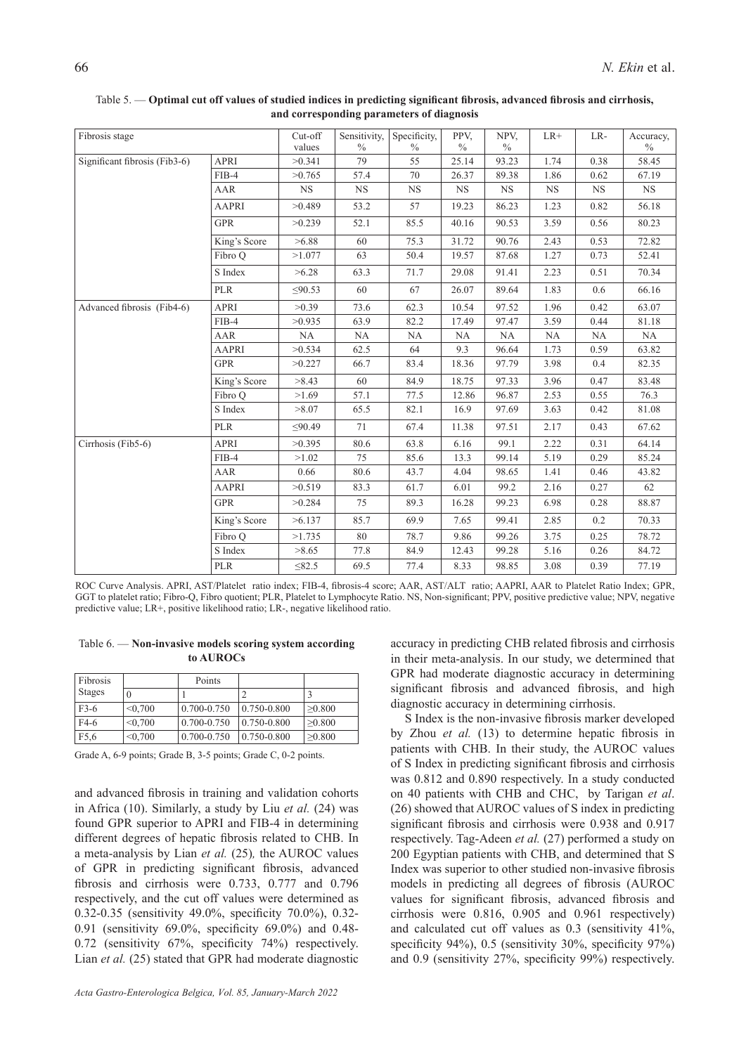| Fibrosis stage                |              | Cut-off<br>values | Sensitivity,<br>$\frac{0}{0}$ | Specificity,<br>$\frac{0}{0}$ | PPV.<br>$\frac{0}{0}$ | NPV.<br>$\frac{0}{0}$ | $LR+$     | LR-       | Accuracy,<br>$\%$ |
|-------------------------------|--------------|-------------------|-------------------------------|-------------------------------|-----------------------|-----------------------|-----------|-----------|-------------------|
| Significant fibrosis (Fib3-6) | <b>APRI</b>  | >0.341            | 79                            | 55                            | 25.14                 | 93.23                 | 1.74      | 0.38      | 58.45             |
|                               | $FIB-4$      | >0.765            | 57.4                          | 70                            | 26.37                 | 89.38                 | 1.86      | 0.62      | 67.19             |
|                               | AAR          | NS                | NS                            | <b>NS</b>                     | NS                    | <b>NS</b>             | <b>NS</b> | <b>NS</b> | <b>NS</b>         |
|                               | <b>AAPRI</b> | >0.489            | 53.2                          | 57                            | 19.23                 | 86.23                 | 1.23      | 0.82      | 56.18             |
|                               | <b>GPR</b>   | >0.239            | 52.1                          | 85.5                          | 40.16                 | 90.53                 | 3.59      | 0.56      | 80.23             |
|                               | King's Score | >6.88             | 60                            | 75.3                          | 31.72                 | 90.76                 | 2.43      | 0.53      | 72.82             |
|                               | Fibro Q      | >1.077            | 63                            | 50.4                          | 19.57                 | 87.68                 | 1.27      | 0.73      | 52.41             |
|                               | S Index      | >6.28             | 63.3                          | 71.7                          | 29.08                 | 91.41                 | 2.23      | 0.51      | 70.34             |
|                               | <b>PLR</b>   | $\leq 90.53$      | 60                            | 67                            | 26.07                 | 89.64                 | 1.83      | 0.6       | 66.16             |
| Advanced fibrosis (Fib4-6)    | <b>APRI</b>  | >0.39             | 73.6                          | 62.3                          | 10.54                 | 97.52                 | 1.96      | 0.42      | 63.07             |
|                               | $FIB-4$      | >0.935            | 63.9                          | 82.2                          | 17.49                 | 97.47                 | 3.59      | 0.44      | 81.18             |
|                               | AAR          | NA                | NA                            | NA                            | NA                    | NA                    | NA        | NA        | $\rm NA$          |
|                               | <b>AAPRI</b> | >0.534            | 62.5                          | 64                            | 9.3                   | 96.64                 | 1.73      | 0.59      | 63.82             |
|                               | <b>GPR</b>   | >0.227            | 66.7                          | 83.4                          | 18.36                 | 97.79                 | 3.98      | 0.4       | 82.35             |
|                               | King's Score | >8.43             | 60                            | 84.9                          | 18.75                 | 97.33                 | 3.96      | 0.47      | 83.48             |
|                               | Fibro Q      | >1.69             | 57.1                          | 77.5                          | 12.86                 | 96.87                 | 2.53      | 0.55      | 76.3              |
|                               | S Index      | >8.07             | 65.5                          | 82.1                          | 16.9                  | 97.69                 | 3.63      | 0.42      | 81.08             |
|                               | <b>PLR</b>   | $\leq 90.49$      | 71                            | 67.4                          | 11.38                 | 97.51                 | 2.17      | 0.43      | 67.62             |
| Cirrhosis (Fib5-6)            | <b>APRI</b>  | >0.395            | 80.6                          | 63.8                          | 6.16                  | 99.1                  | 2.22      | 0.31      | 64.14             |
|                               | $FIB-4$      | >1.02             | 75                            | 85.6                          | 13.3                  | 99.14                 | 5.19      | 0.29      | 85.24             |
|                               | AAR          | 0.66              | 80.6                          | 43.7                          | 4.04                  | 98.65                 | 1.41      | 0.46      | 43.82             |
|                               | <b>AAPRI</b> | >0.519            | 83.3                          | 61.7                          | 6.01                  | 99.2                  | 2.16      | 0.27      | 62                |
|                               | <b>GPR</b>   | >0.284            | 75                            | 89.3                          | 16.28                 | 99.23                 | 6.98      | 0.28      | 88.87             |
|                               | King's Score | >6.137            | 85.7                          | 69.9                          | 7.65                  | 99.41                 | 2.85      | 0.2       | 70.33             |
|                               | Fibro Q      | >1.735            | 80                            | 78.7                          | 9.86                  | 99.26                 | 3.75      | 0.25      | 78.72             |
|                               | S Index      | >8.65             | 77.8                          | 84.9                          | 12.43                 | 99.28                 | 5.16      | 0.26      | 84.72             |
|                               | <b>PLR</b>   | $\leq$ 82.5       | 69.5                          | 77.4                          | 8.33                  | 98.85                 | 3.08      | 0.39      | 77.19             |

Table 5. — **Optimal cut off values of studied indices in predicting significant fibrosis, advanced fibrosis and cirrhosis, and corresponding parameters of diagnosis**

ROC Curve Analysis. APRI, AST/Platelet ratio index; FIB-4, fibrosis-4 score; AAR, AST/ALT ratio; AAPRI, AAR to Platelet Ratio Index; GPR, GGT to platelet ratio; Fibro-Q, Fibro quotient; PLR, Platelet to Lymphocyte Ratio. NS, Non-significant; PPV, positive predictive value; NPV, negative predictive value; LR+, positive likelihood ratio; LR-, negative likelihood ratio.

Table 6. — **Non-invasive models scoring system according to AUROCs**

| Fibrosis         |         | Points          |                 |              |
|------------------|---------|-----------------|-----------------|--------------|
| Stages           | 0       |                 |                 |              |
| $F3-6$           | < 0.700 | $0.700 - 0.750$ | $0.750 - 0.800$ | >0.800       |
| F4-6             | < 0.700 | $0.700 - 0.750$ | $0.750 - 0.800$ | >0.800       |
| F <sub>5.6</sub> | < 0.700 | 0.700-0.750     | 0.750-0.800     | $\geq 0.800$ |

Grade A, 6-9 points; Grade B, 3-5 points; Grade C, 0-2 points.

and advanced fibrosis in training and validation cohorts in Africa (10). Similarly, a study by Liu *et al.* (24) was found GPR superior to APRI and FIB-4 in determining different degrees of hepatic fibrosis related to CHB. In a meta-analysis by Lian *et al.* (25)*,* the AUROC values of GPR in predicting significant fibrosis, advanced fibrosis and cirrhosis were 0.733, 0.777 and 0.796 respectively, and the cut off values were determined as 0.32-0.35 (sensitivity 49.0%, specificity 70.0%), 0.32- 0.91 (sensitivity 69.0%, specificity 69.0%) and 0.48- 0.72 (sensitivity 67%, specificity 74%) respectively. Lian *et al.* (25) stated that GPR had moderate diagnostic accuracy in predicting CHB related fibrosis and cirrhosis in their meta-analysis. In our study, we determined that GPR had moderate diagnostic accuracy in determining significant fibrosis and advanced fibrosis, and high diagnostic accuracy in determining cirrhosis.

S Index is the non-invasive fibrosis marker developed by Zhou *et al.* (13) to determine hepatic fibrosis in patients with CHB. In their study, the AUROC values of S Index in predicting significant fibrosis and cirrhosis was 0.812 and 0.890 respectively. In a study conducted on 40 patients with CHB and CHC, by Tarigan *et al*. (26) showed that AUROC values of S index in predicting significant fibrosis and cirrhosis were 0.938 and 0.917 respectively. Tag-Adeen *et al.* (27) performed a study on 200 Egyptian patients with CHB, and determined that S Index was superior to other studied non-invasive fibrosis models in predicting all degrees of fibrosis (AUROC values for significant fibrosis, advanced fibrosis and cirrhosis were 0.816, 0.905 and 0.961 respectively) and calculated cut off values as 0.3 (sensitivity 41%, specificity 94%), 0.5 (sensitivity 30%, specificity 97%) and 0.9 (sensitivity 27%, specificity 99%) respectively.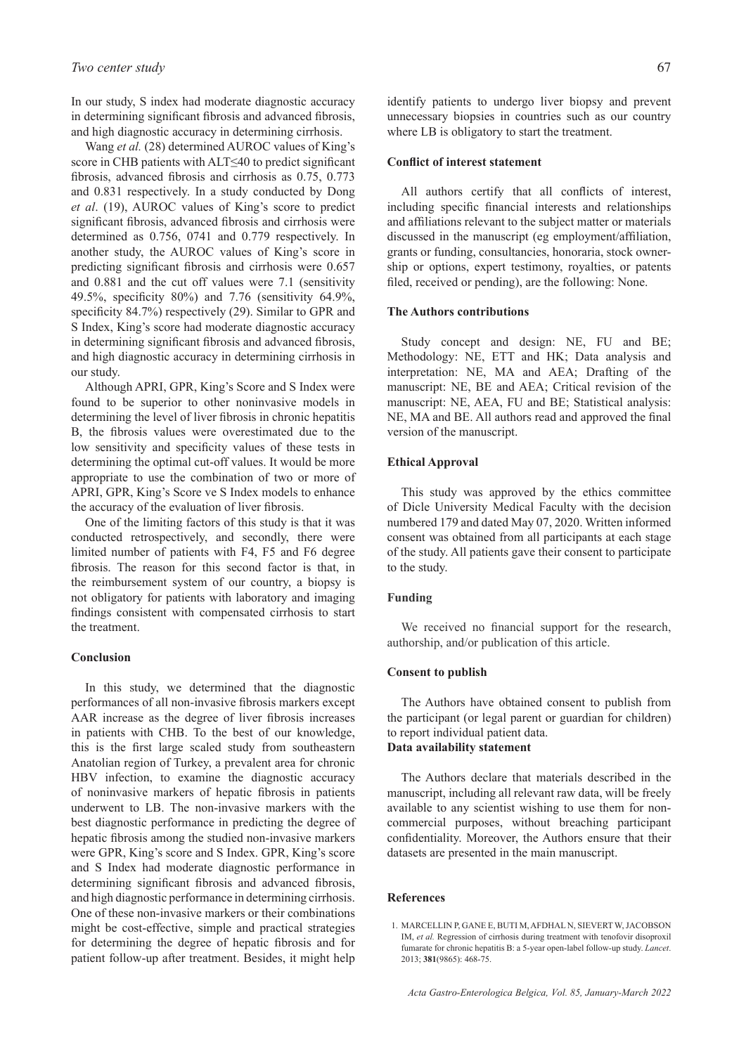In our study, S index had moderate diagnostic accuracy in determining significant fibrosis and advanced fibrosis, and high diagnostic accuracy in determining cirrhosis.

Wang *et al.* (28) determined AUROC values of King's score in CHB patients with ALT≤40 to predict significant fibrosis, advanced fibrosis and cirrhosis as 0.75, 0.773 and 0.831 respectively. In a study conducted by Dong *et al*. (19), AUROC values of King's score to predict significant fibrosis, advanced fibrosis and cirrhosis were determined as 0.756, 0741 and 0.779 respectively. In another study, the AUROC values of King's score in predicting significant fibrosis and cirrhosis were 0.657 and 0.881 and the cut off values were 7.1 (sensitivity 49.5%, specificity 80%) and 7.76 (sensitivity 64.9%, specificity 84.7%) respectively (29). Similar to GPR and S Index, King's score had moderate diagnostic accuracy in determining significant fibrosis and advanced fibrosis, and high diagnostic accuracy in determining cirrhosis in our study.

Although APRI, GPR, King's Score and S Index were found to be superior to other noninvasive models in determining the level of liver fibrosis in chronic hepatitis B, the fibrosis values were overestimated due to the low sensitivity and specificity values of these tests in determining the optimal cut-off values. It would be more appropriate to use the combination of two or more of APRI, GPR, King's Score ve S Index models to enhance the accuracy of the evaluation of liver fibrosis.

One of the limiting factors of this study is that it was conducted retrospectively, and secondly, there were limited number of patients with F4, F5 and F6 degree fibrosis. The reason for this second factor is that, in the reimbursement system of our country, a biopsy is not obligatory for patients with laboratory and imaging findings consistent with compensated cirrhosis to start the treatment.

### **Conclusion**

In this study, we determined that the diagnostic performances of all non-invasive fibrosis markers except AAR increase as the degree of liver fibrosis increases in patients with CHB. To the best of our knowledge, this is the first large scaled study from southeastern Anatolian region of Turkey, a prevalent area for chronic HBV infection, to examine the diagnostic accuracy of noninvasive markers of hepatic fibrosis in patients underwent to LB. The non-invasive markers with the best diagnostic performance in predicting the degree of hepatic fibrosis among the studied non-invasive markers were GPR, King's score and S Index. GPR, King's score and S Index had moderate diagnostic performance in determining significant fibrosis and advanced fibrosis, and high diagnostic performance in determining cirrhosis. One of these non-invasive markers or their combinations might be cost-effective, simple and practical strategies for determining the degree of hepatic fibrosis and for patient follow-up after treatment. Besides, it might help

identify patients to undergo liver biopsy and prevent unnecessary biopsies in countries such as our country where LB is obligatory to start the treatment.

# **Conflict of interest statement**

All authors certify that all conflicts of interest, including specific financial interests and relationships and affiliations relevant to the subject matter or materials discussed in the manuscript (eg employment/affiliation, grants or funding, consultancies, honoraria, stock ownership or options, expert testimony, royalties, or patents filed, received or pending), are the following: None.

### **The Authors contributions**

Study concept and design: NE, FU and BE; Methodology: NE, ETT and HK; Data analysis and interpretation: NE, MA and AEA; Drafting of the manuscript: NE, BE and AEA; Critical revision of the manuscript: NE, AEA, FU and BE; Statistical analysis: NE, MA and BE. All authors read and approved the final version of the manuscript.

### **Ethical Approval**

This study was approved by the ethics committee of Dicle University Medical Faculty with the decision numbered 179 and dated May 07, 2020. Written informed consent was obtained from all participants at each stage of the study. All patients gave their consent to participate to the study.

# **Funding**

We received no financial support for the research, authorship, and/or publication of this article.

### **Consent to publish**

The Authors have obtained consent to publish from the participant (or legal parent or guardian for children) to report individual patient data. **Data availability statement**

The Authors declare that materials described in the manuscript, including all relevant raw data, will be freely available to any scientist wishing to use them for noncommercial purposes, without breaching participant confidentiality. Moreover, the Authors ensure that their datasets are presented in the main manuscript.

### **References**

<sup>1.</sup> MARCELLIN P, GANE E, BUTI M, AFDHAL N, SIEVERT W, JACOBSON IM, *et al.* Regression of cirrhosis during treatment with tenofovir disoproxil fumarate for chronic hepatitis B: a 5-year open-label follow-up study. *Lancet*. 2013; **381**(9865): 468-75.